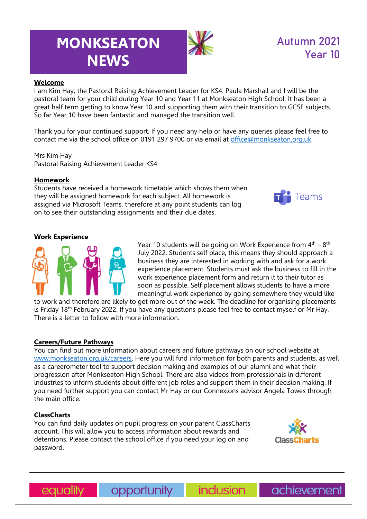# **MONKSEATON NEWS**



# Autumn 2021 Year 10

# **Welcome**

I am Kim Hay, the Pastoral Raising Achievement Leader for KS4. Paula Marshall and I will be the pastoral team for your child during Year 10 and Year 11 at Monkseaton High School. It has been a great half term getting to know Year 10 and supporting them with their transition to GCSE subjects. So far Year 10 have been fantastic and managed the transition well.

Thank you for your continued support. If you need any help or have any queries please feel free to contact me via the school office on 0191 297 9700 or via email at [office@monkseaton.org.uk.](mailto:office@monkseaton.org.uk)

Mrs Kim Hay Pastoral Raising Achievement Leader KS4

# **Homework**

Students have received a homework timetable which shows them when they will be assigned homework for each subject. All homework is assigned via Microsoft Teams, therefore at any point students can log on to see their outstanding assignments and their due dates.



# **Work Experience**



Year 10 students will be going on Work Experience from  $4<sup>th</sup> - 8<sup>th</sup>$ July 2022. Students self place, this means they should approach a business they are interested in working with and ask for a work experience placement. Students must ask the business to fill in the work experience placement form and return it to their tutor as soon as possible. Self placement allows students to have a more meaningful work experience by going somewhere they would like

to work and therefore are likely to get more out of the week. The deadline for organising placements is Friday 18<sup>th</sup> February 2022. If you have any questions please feel free to contact myself or Mr Hay. There is a letter to follow with more information.

#### **Careers/Future Pathways**

You can find out more information about careers and future pathways on our school website at [www.monkseaton.org.uk/careers.](http://www.monkseaton.org.uk/careers) Here you will find information for both parents and students, as well as a careerometer tool to support decision making and examples of our alumni and what their progression after Monkseaton High School. There are also videos from professionals in different industries to inform students about different job roles and support them in their decision making. If you need further support you can contact Mr Hay or our Connexions advisor Angela Towes through the main office.

# **ClassCharts**

You can find daily updates on pupil progress on your parent ClassCharts account. This will allow you to access information about rewards and detentions. Please contact the school office if you need your log on and password.





opportunity

*inclusion* 

achievement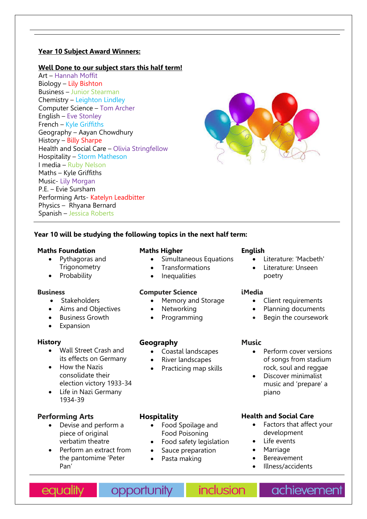# **Year 10 Subject Award Winners:**

### **Well Done to our subject stars this half term!**

Art – Hannah Moffit Biology – Lily Bishton Business – Junior Stearman Chemistry – Leighton Lindley Computer Science – Tom Archer English – Eve Stonley French – Kyle Griffiths Geography – Aayan Chowdhury History – Billy Sharpe Health and Social Care – Olivia Stringfellow Hospitality – Storm Matheson I media – Ruby Nelson Maths – Kyle Griffiths Music- Lily Morgan P.E. – Evie Sursham Performing Arts- Katelyn Leadbitter Physics – Rhyana Bernard Spanish – Jessica Roberts



# **Year 10 will be studying the following topics in the next half term:**

#### **Maths Foundation**

- Pythagoras and **Trigonometry**
- **Probability**

#### **Business**

- Stakeholders
- Aims and Objectives
- Business Growth
- Expansion

#### **History**

- Wall Street Crash and its effects on Germany
- How the Nazis consolidate their election victory 1933-34
- Life in Nazi Germany 1934-39

# **Performing Arts**

- Devise and perform a piece of original verbatim theatre
- Perform an extract from the pantomime 'Peter Pan'

#### **Maths Higher**

- Simultaneous Equations
- **Transformations**
- Inequalities

#### **Computer Science**

- Memory and Storage
- Networking
- Programming

# **Geography**

- Coastal landscapes
- River landscapes
- Practicing map skills

# **Hospitality**

- Food Spoilage and Food Poisoning
- Food safety legislation
- Sauce preparation
- Pasta making

#### **English**

- Literature: 'Macbeth'
- Literature: Unseen poetry

#### **iMedia**

- Client requirements
- Planning documents
- Begin the coursework

# **Music**

- Perform cover versions of songs from stadium rock, soul and reggae
- Discover minimalist music and 'prepare' a piano

# **Health and Social Care**

- Factors that affect your development
- Life events
- **Marriage**
- **Bereavement**
- Illness/accidents

equality

opportunity

*inclusion* 

achievement